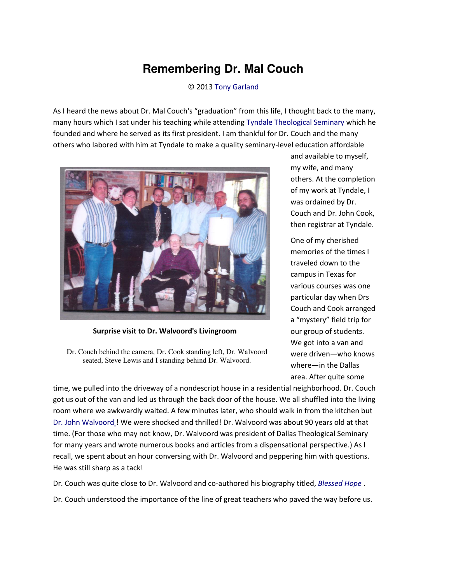## **Remembering Dr. Mal Couch**

© 2013 [Tony Garland](http://www.spiritandtruth.org/id/tg.htm) 

As I heard the news about Dr. Mal Couch's "graduation" from this life, I thought back to the many, many hours which I sat under his teaching while attendin[g Tyndale Theological Seminary w](http://www.tyndale.edu/)hich he founded and where he served as its first president. I am thankful for Dr. Couch and the many others who labored with him at Tyndale to make a quality seminary-level education affordable



**Surprise visit to Dr. Walvoord's Livingroom** 

Dr. Couch behind the camera, Dr. Cook standing left, Dr. Walvoord seated, Steve Lewis and I standing behind Dr. Walvoord.

and available to myself, my wife, and many others. At the completion of my work at Tyndale, I was ordained by Dr. Couch and Dr. John Cook, then registrar at Tyndale.

One of my cherished memories of the times I traveled down to the campus in Texas for various courses was one particular day when Drs Couch and Cook arranged a "mystery" field trip for our group of students. We got into a van and were driven—who knows where—in the Dallas area. After quite some

time, we pulled into the driveway of a nondescript house in a residential neighborhood. Dr. Couch got us out of the van and led us through the back door of the house. We all shuffled into the living room where we awkwardly waited. A few minutes later, who should walk in from the kitchen but [Dr. John Walvoord !](http://en.wikipedia.org/wiki/John_Walvoord) We were shocked and thrilled! Dr. Walvoord was about 90 years old at that time. (For those who may not know, Dr. Walvoord was president of Dallas Theological Seminary for many years and wrote numerous books and articles from a dispensational perspective.) As I recall, we spent about an hour conversing with Dr. Walvoord and peppering him with questions. He was still sharp as a tack!

Dr. Couch was quite close to Dr. Walvoord and co-authored his biography titled, *[Blessed Hope](http://www.amazon.com/Blessed-Hope-Autobiography-John-Walvoord/dp/0899573614)* .

Dr. Couch understood the importance of the line of great teachers who paved the way before us.